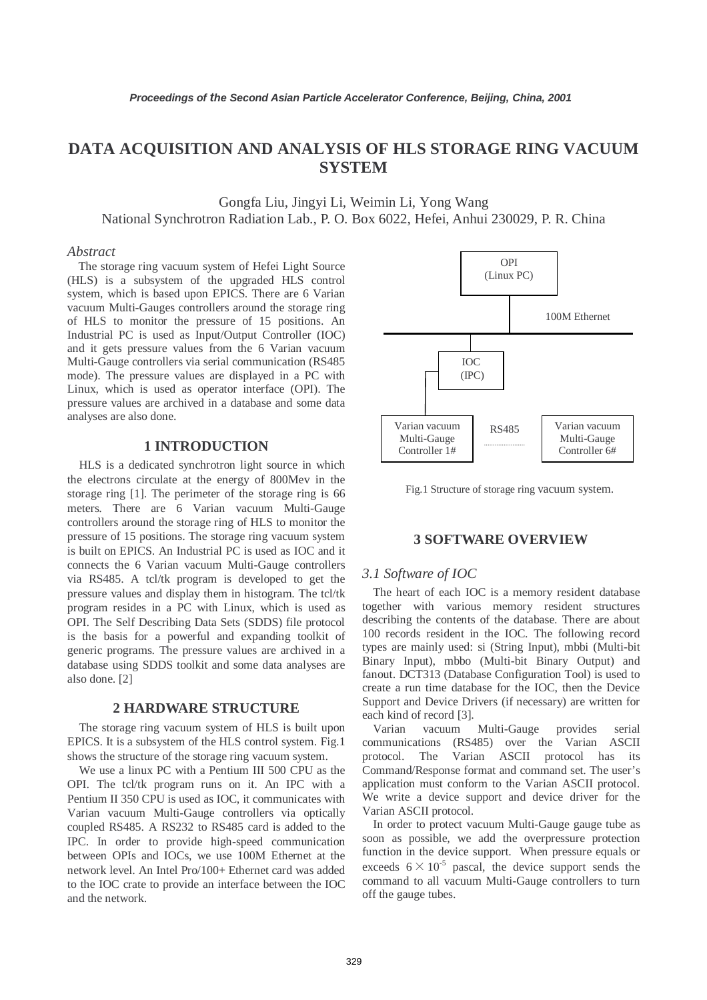# **DATA ACQUISITION AND ANALYSIS OF HLS STORAGE RING VACUUM SYSTEM**

Gongfa Liu, Jingyi Li, Weimin Li, Yong Wang National Synchrotron Radiation Lab., P. O. Box 6022, Hefei, Anhui 230029, P. R. China

## *Abstract*

The storage ring vacuum system of Hefei Light Source (HLS) is a subsystem of the upgraded HLS control system, which is based upon EPICS. There are 6 Varian vacuum Multi-Gauges controllers around the storage ring of HLS to monitor the pressure of 15 positions. An Industrial PC is used as Input/Output Controller (IOC) and it gets pressure values from the 6 Varian vacuum Multi-Gauge controllers via serial communication (RS485 mode). The pressure values are displayed in a PC with Linux, which is used as operator interface (OPI). The pressure values are archived in a database and some data analyses are also done.

# **1 INTRODUCTION**

HLS is a dedicated synchrotron light source in which the electrons circulate at the energy of 800Mev in the storage ring [1]. The perimeter of the storage ring is 66 meters. There are 6 Varian vacuum Multi-Gauge controllers around the storage ring of HLS to monitor the pressure of 15 positions. The storage ring vacuum system is built on EPICS. An Industrial PC is used as IOC and it connects the 6 Varian vacuum Multi-Gauge controllers via RS485. A tcl/tk program is developed to get the pressure values and display them in histogram. The tcl/tk program resides in a PC with Linux, which is used as OPI. The Self Describing Data Sets (SDDS) file protocol is the basis for a powerful and expanding toolkit of generic programs. The pressure values are archived in a database using SDDS toolkit and some data analyses are also done. [2]

#### **2 HARDWARE STRUCTURE**

The storage ring vacuum system of HLS is built upon EPICS. It is a subsystem of the HLS control system. Fig.1 shows the structure of the storage ring vacuum system.

We use a linux PC with a Pentium III 500 CPU as the OPI. The tcl/tk program runs on it. An IPC with a Pentium II 350 CPU is used as IOC, it communicates with Varian vacuum Multi-Gauge controllers via optically coupled RS485. A RS232 to RS485 card is added to the IPC. In order to provide high-speed communication between OPIs and IOCs, we use 100M Ethernet at the network level. An Intel Pro/100+ Ethernet card was added to the IOC crate to provide an interface between the IOC and the network.



Fig.1 Structure of storage ring vacuum system.

#### **3 SOFTWARE OVERVIEW**

#### *3.1 Software of IOC*

The heart of each IOC is a memory resident database together with various memory resident structures describing the contents of the database. There are about 100 records resident in the IOC. The following record types are mainly used: si (String Input), mbbi (Multi-bit Binary Input), mbbo (Multi-bit Binary Output) and fanout. DCT313 (Database Configuration Tool) is used to create a run time database for the IOC, then the Device Support and Device Drivers (if necessary) are written for each kind of record [3].

Varian vacuum Multi-Gauge provides serial communications (RS485) over the Varian ASCII protocol. The Varian ASCII protocol has its Command/Response format and command set. The user's application must conform to the Varian ASCII protocol. We write a device support and device driver for the Varian ASCII protocol.

In order to protect vacuum Multi-Gauge gauge tube as soon as possible, we add the overpressure protection function in the device support. When pressure equals or exceeds  $6 \times 10^{-5}$  pascal, the device support sends the command to all vacuum Multi-Gauge controllers to turn off the gauge tubes.